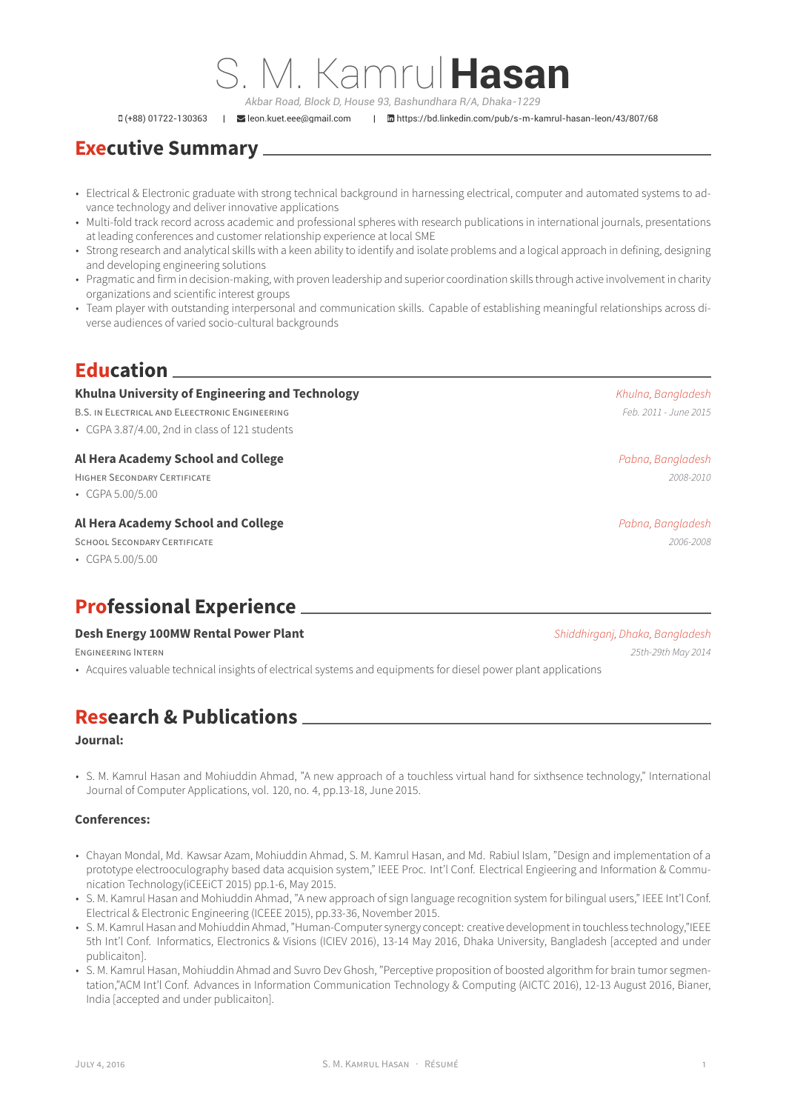S. M. Kamrul**Hasan**

*Akbar Road, Block D, House 93, Bashundhara R/A, Dhaka-1229*

(+88) 01722-130363 | leon.kuet.eee@gmail.com | https://bd.linkedin.com/pub/s-m-kamrul-hasan-leon/43/807/68

### **Executive Summary**

- Electrical & Electronic graduate [with strong technical ba](mailto:leon.kuet.eee@gmail.com)ckgrou[nd in harnessing electrical, computer and automated syst](https://www.linkedin.com/in/https://bd.linkedin.com/pub/s-m-kamrul-hasan-leon/43/807/68)ems to advance technology and deliver innovative applications
- Multi-fold track record across academic and professional spheres with research publications in international journals, presentations at leading conferences and customer relationship experience at local SME
- Strong research and analytical skills with a keen ability to identify and isolate problems and a logical approach in defining, designing and developing engineering solutions
- Pragmatic and firm in decision-making, with proven leadership and superior coordination skills through active involvement in charity organizations and scientific interest groups
- Team player with outstanding interpersonal and communication skills. Capable of establishing meaningful relationships across diverse audiences of varied socio-cultural backgrounds

# **Education**

### **Khulna University of Engineering and Technology** *Khulna, Bangladesh*

B.S. IN ELECTRICAL AND ELEECTRONIC ENGINEERING *Feb. 2011 - June 2015*

• CGPA 3.87/4.00, 2nd in class of 121 students

### **Al Hera Academy School and College** *Pabna, Bangladesh*

HIGHER SECONDARY CERTIFICATE *2008-2010*

• CGPA 5.00/5.00

### **Al Hera Academy School and College** *Pabna, Bangladesh*

SCHOOL SECONDARY CERTIFICATE *2006-2008*

• CGPA 5.00/5.00

## **Professional Experience**

#### **Desh Energy 100MW Rental Power Plant** *Shiddhirganj, Dhaka, Bangladesh*

• Acquires valuable technical insights of electrical systems and equipments for diesel power plant applications

## **Research & Publications**

### **Journal:**

• S. M. Kamrul Hasan and Mohiuddin Ahmad, "A new approach of a touchless virtual hand for sixthsence technology," International Journal of Computer Applications, vol. 120, no. 4, pp.13-18, June 2015.

### **Conferences:**

- Chayan Mondal, Md. Kawsar Azam, Mohiuddin Ahmad, S. M. Kamrul Hasan, and Md. Rabiul Islam, "Design and implementation of a prototype electrooculography based data acquision system," IEEE Proc. Int'l Conf. Electrical Engieering and Information & Communication Technology(iCEEiCT 2015) pp.1-6, May 2015.
- S. M. Kamrul Hasan and Mohiuddin Ahmad, "A new approach of sign language recognition system for bilingual users," IEEE Int'l Conf. Electrical & Electronic Engineering (ICEEE 2015), pp.33-36, November 2015.
- S. M. Kamrul Hasan and Mohiuddin Ahmad, "Human-Computer synergy concept: creative development in touchless technology,"IEEE 5th Int'l Conf. Informatics, Electronics & Visions (ICIEV 2016), 13-14 May 2016, Dhaka University, Bangladesh [accepted and under publicaiton].
- S. M. Kamrul Hasan, Mohiuddin Ahmad and Suvro Dev Ghosh, "Perceptive proposition of boosted algorithm for brain tumor segmentation,"ACM Int'l Conf. Advances in Information Communication Technology & Computing (AICTC 2016), 12-13 August 2016, Bianer, India [accepted and under publicaiton].

ENGINEERING INTERN *25th-29th May 2014*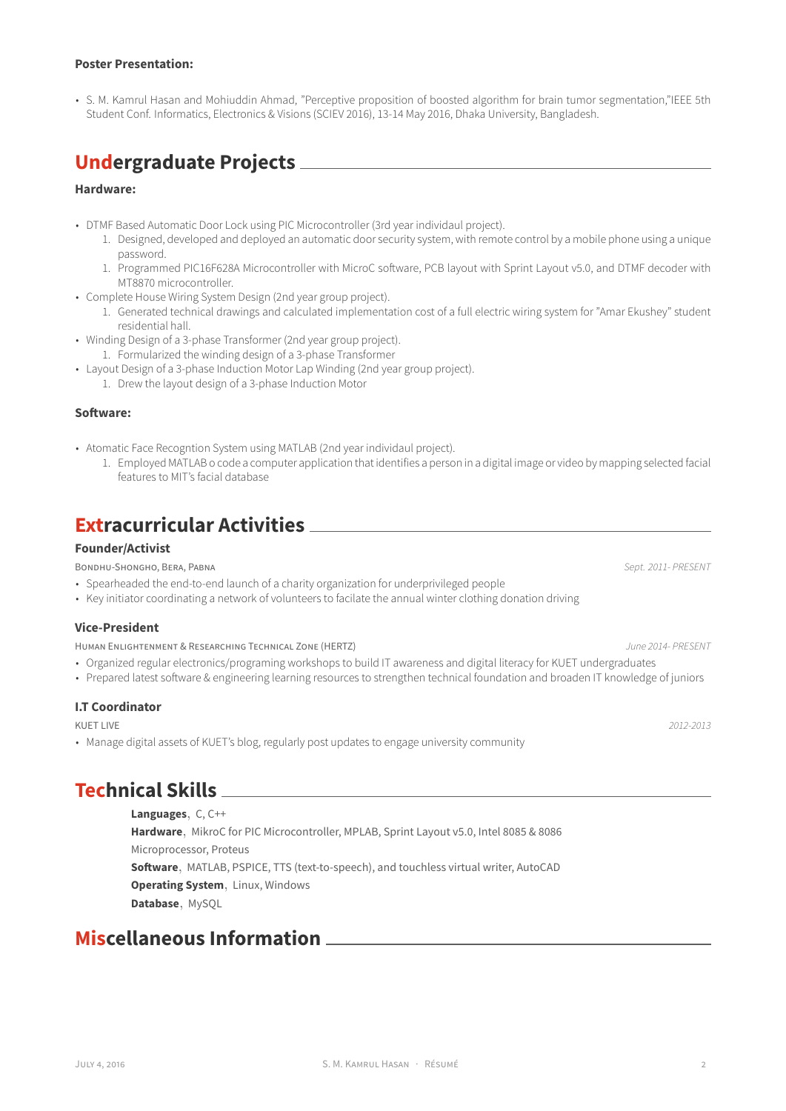#### **Poster Presentation:**

• S. M. Kamrul Hasan and Mohiuddin Ahmad, "Perceptive proposition of boosted algorithm for brain tumor segmentation,"IEEE 5th Student Conf. Informatics, Electronics & Visions (SCIEV 2016), 13-14 May 2016, Dhaka University, Bangladesh.

# **Undergraduate Projects**

### **Hardware:**

- DTMF Based Automatic Door Lock using PIC Microcontroller (3rd year individaul project).
	- 1. Designed, developed and deployed an automatic door security system, with remote control by a mobile phone using a unique password.
	- 1. Programmed PIC16F628A Microcontroller with MicroC software, PCB layout with Sprint Layout v5.0, and DTMF decoder with MT8870 microcontroller.
- Complete House Wiring System Design (2nd year group project).
	- 1. Generated technical drawings and calculated implementation cost of a full electric wiring system for "Amar Ekushey" student residential hall.
- Winding Design of a 3-phase Transformer (2nd year group project).
	- 1. Formularized the winding design of a 3-phase Transformer
- Layout Design of a 3-phase Induction Motor Lap Winding (2nd year group project).
	- 1. Drew the layout design of a 3-phase Induction Motor

### **Software:**

- Atomatic Face Recogntion System using MATLAB (2nd year individaul project).
	- 1. Employed MATLAB o code a computer application that identifies a person in a digital image or video by mapping selected facial features to MIT's facial database

### **Extracurricular Activities**

### **Founder/Activist**

BONDHU-SHONGHO, BERA, PABNA *Sept. 2011- PRESENT*

- Spearheaded the end-to-end launch of a charity organization for underprivileged people
- Key initiator coordinating a network of volunteers to facilate the annual winter clothing donation driving

### **Vice-President**

HUMAN ENLIGHTENMENT & RESEARCHING TECHNICAL ZONE (HERTZ) *June 2014- PRESENT*

- Organized regular electronics/programing workshops to build IT awareness and digital literacy for KUET undergraduates
- Prepared latest software & engineering learning resources to strengthen technical foundation and broaden IT knowledge of juniors

### **I.T Coordinator**

KUET LIVE *2012-2013*

• Manage digital assets of KUET's blog, regularly post updates to engage university community

## **Technical Skills**

**Languages**, C, C++ **Hardware**, MikroC for PIC Microcontroller, MPLAB, Sprint Layout v5.0, Intel 8085 & 8086 Microprocessor, Proteus **Software**, MATLAB, PSPICE, TTS (text-to-speech), and touchless virtual writer, AutoCAD **Operating System**, Linux, Windows **Database**, MySQL

### **Miscellaneous Information**